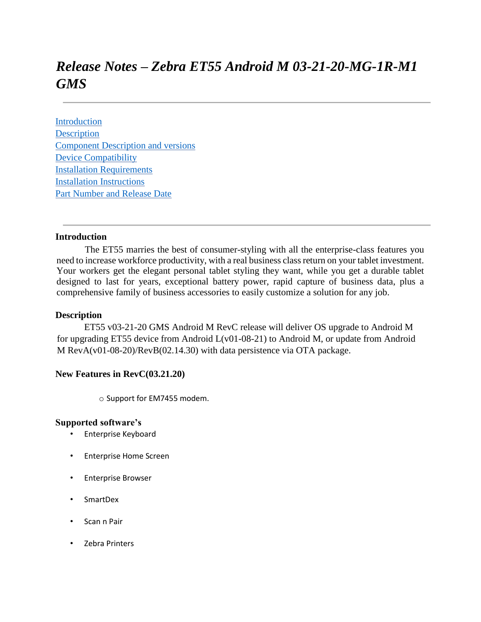# *Release Notes – Zebra ET55 Android M 03-21-20-MG-1R-M1 GMS*

[Introduction](#page-0-0) **[Description](#page-0-1)** [Component Description and versions](#page-1-0) [Device Compatibility](#page-9-0) [Installation Requirements](#page-9-1) [Installation Instructions](#page-10-0) [Part Number and Release Date](#page-10-1)

## <span id="page-0-0"></span>**Introduction**

 The ET55 marries the best of consumer-styling with all the enterprise-class features you need to increase workforce productivity, with a real business class return on your tablet investment. Your workers get the elegant personal tablet styling they want, while you get a durable tablet designed to last for years, exceptional battery power, rapid capture of business data, plus a comprehensive family of business accessories to easily customize a solution for any job.

#### <span id="page-0-1"></span>**Description**

ET55 v03-21-20 GMS Android M RevC release will deliver OS upgrade to Android M for upgrading ET55 device from Android L(v01-08-21) to Android M, or update from Android M RevA(v01-08-20)/RevB(02.14.30) with data persistence via OTA package.

## **New Features in RevC(03.21.20)**

o Support for EM7455 modem.

#### **Supported software's**

- Enterprise Keyboard
- Enterprise Home Screen
- Enterprise Browser
- SmartDex
- Scan n Pair
- Zebra Printers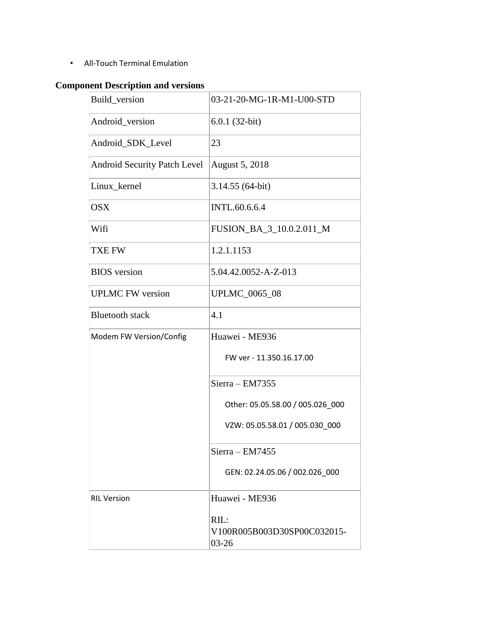• All-Touch Terminal Emulation

# <span id="page-1-0"></span>**Component Description and versions**

| Build_version                       | 03-21-20-MG-1R-M1-U00-STD                        |
|-------------------------------------|--------------------------------------------------|
| Android_version                     | $6.0.1(32-bit)$                                  |
| Android_SDK_Level                   | 23                                               |
| <b>Android Security Patch Level</b> | August 5, 2018                                   |
| Linux_kernel                        | 3.14.55 (64-bit)                                 |
| <b>OSX</b>                          | <b>INTL.60.6.6.4</b>                             |
| Wifi                                | FUSION_BA_3_10.0.2.011_M                         |
| <b>TXE FW</b>                       | 1.2.1.1153                                       |
| <b>BIOS</b> version                 | 5.04.42.0052-A-Z-013                             |
| <b>UPLMC FW version</b>             | <b>UPLMC_0065_08</b>                             |
| <b>Bluetooth</b> stack              | 4.1                                              |
| Modem FW Version/Config             | Huawei - ME936                                   |
|                                     | FW ver - 11.350.16.17.00                         |
|                                     | Sierra - EM7355                                  |
|                                     | Other: 05.05.58.00 / 005.026_000                 |
|                                     | VZW: 05.05.58.01 / 005.030_000                   |
|                                     | Sierra - EM7455                                  |
|                                     | GEN: 02.24.05.06 / 002.026 000                   |
| <b>RIL Version</b>                  | Huawei - ME936                                   |
|                                     | RIL:<br>V100R005B003D30SP00C032015-<br>$03 - 26$ |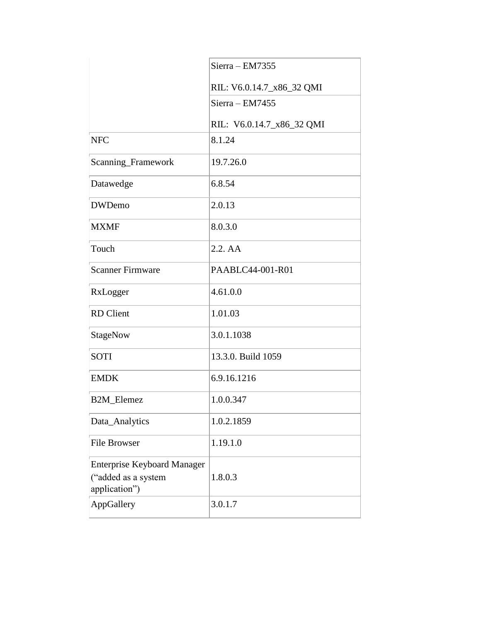|                                      | Sierra - EM7355           |
|--------------------------------------|---------------------------|
|                                      | RIL: V6.0.14.7_x86_32 QMI |
|                                      | $Sierra - EM7455$         |
|                                      | RIL: V6.0.14.7_x86_32 QMI |
| <b>NFC</b>                           | 8.1.24                    |
| Scanning_Framework                   | 19.7.26.0                 |
| Datawedge                            | 6.8.54                    |
| <b>DWDemo</b>                        | 2.0.13                    |
| <b>MXMF</b>                          | 8.0.3.0                   |
| Touch                                | 2.2. AA                   |
| <b>Scanner Firmware</b>              | PAABLC44-001-R01          |
| RxLogger                             | 4.61.0.0                  |
| <b>RD</b> Client                     | 1.01.03                   |
| StageNow                             | 3.0.1.1038                |
| <b>SOTI</b>                          | 13.3.0. Build 1059        |
| <b>EMDK</b>                          | 6.9.16.1216               |
| B2M_Elemez                           | 1.0.0.347                 |
| Data_Analytics                       | 1.0.2.1859                |
| <b>File Browser</b>                  | 1.19.1.0                  |
| <b>Enterprise Keyboard Manager</b>   |                           |
| ("added as a system<br>application") | 1.8.0.3                   |
| AppGallery                           | 3.0.1.7                   |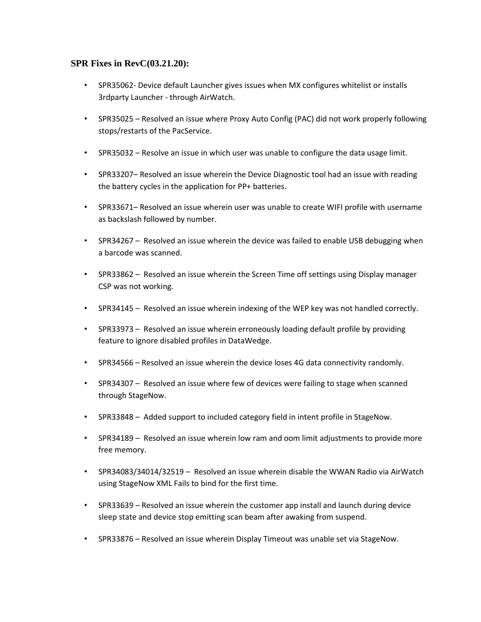## **SPR Fixes in RevC(03.21.20):**

- SPR35062- Device default Launcher gives issues when MX configures whitelist or installs 3rdparty Launcher - through AirWatch.
- SPR35025 Resolved an issue where Proxy Auto Config (PAC) did not work properly following stops/restarts of the PacService.
- SPR35032 Resolve an issue in which user was unable to configure the data usage limit.
- SPR33207– Resolved an issue wherein the Device Diagnostic tool had an issue with reading the battery cycles in the application for PP+ batteries.
- SPR33671– Resolved an issue wherein user was unable to create WIFI profile with username as backslash followed by number.
- SPR34267 Resolved an issue wherein the device was failed to enable USB debugging when a barcode was scanned.
- SPR33862 Resolved an issue wherein the Screen Time off settings using Display manager CSP was not working.
- SPR34145 Resolved an issue wherein indexing of the WEP key was not handled correctly.
- SPR33973 Resolved an issue wherein erroneously loading default profile by providing feature to ignore disabled profiles in DataWedge.
- SPR34566 Resolved an issue wherein the device loses 4G data connectivity randomly.
- SPR34307 Resolved an issue where few of devices were failing to stage when scanned through StageNow.
- SPR33848 Added support to included category field in intent profile in StageNow.
- SPR34189 Resolved an issue wherein low ram and oom limit adjustments to provide more free memory.
- SPR34083/34014/32519 Resolved an issue wherein disable the WWAN Radio via AirWatch using StageNow XML Fails to bind for the first time.
- SPR33639 Resolved an issue wherein the customer app install and launch during device sleep state and device stop emitting scan beam after awaking from suspend.
- SPR33876 Resolved an issue wherein Display Timeout was unable set via StageNow.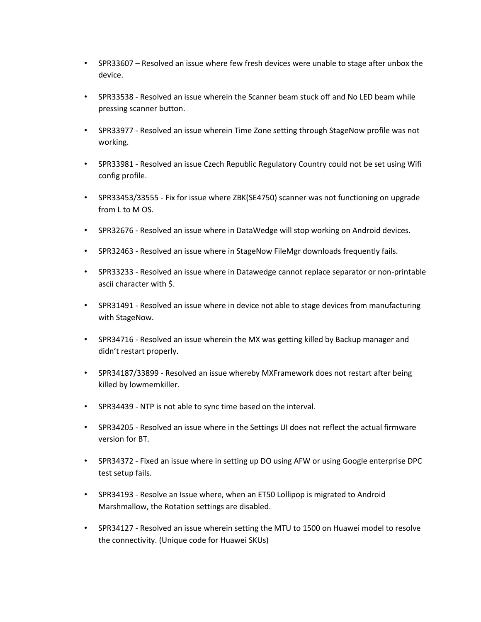- SPR33607 Resolved an issue where few fresh devices were unable to stage after unbox the device.
- SPR33538 Resolved an issue wherein the Scanner beam stuck off and No LED beam while pressing scanner button.
- SPR33977 Resolved an issue wherein Time Zone setting through StageNow profile was not working.
- SPR33981 Resolved an issue Czech Republic Regulatory Country could not be set using Wifi config profile.
- SPR33453/33555 Fix for issue where ZBK(SE4750) scanner was not functioning on upgrade from L to M OS.
- SPR32676 Resolved an issue where in DataWedge will stop working on Android devices.
- SPR32463 Resolved an issue where in StageNow FileMgr downloads frequently fails.
- SPR33233 Resolved an issue where in Datawedge cannot replace separator or non-printable ascii character with \$.
- SPR31491 Resolved an issue where in device not able to stage devices from manufacturing with StageNow.
- SPR34716 Resolved an issue wherein the MX was getting killed by Backup manager and didn't restart properly.
- SPR34187/33899 Resolved an issue whereby MXFramework does not restart after being killed by lowmemkiller.
- SPR34439 NTP is not able to sync time based on the interval.
- SPR34205 Resolved an issue where in the Settings UI does not reflect the actual firmware version for BT.
- SPR34372 Fixed an issue where in setting up DO using AFW or using Google enterprise DPC test setup fails.
- SPR34193 Resolve an Issue where, when an ET50 Lollipop is migrated to Android Marshmallow, the Rotation settings are disabled.
- SPR34127 Resolved an issue wherein setting the MTU to 1500 on Huawei model to resolve the connectivity. (Unique code for Huawei SKUs)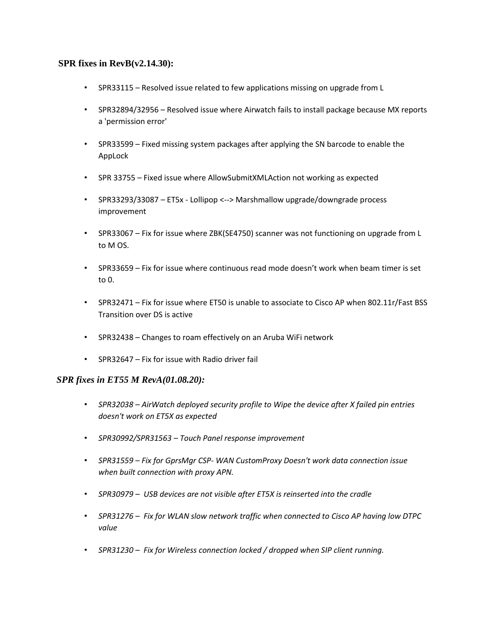## **SPR fixes in RevB(v2.14.30):**

- SPR33115 Resolved issue related to few applications missing on upgrade from L
- SPR32894/32956 Resolved issue where Airwatch fails to install package because MX reports a 'permission error'
- SPR33599 Fixed missing system packages after applying the SN barcode to enable the AppLock
- SPR 33755 Fixed issue where AllowSubmitXMLAction not working as expected
- SPR33293/33087 *–* ET5x Lollipop <--> Marshmallow upgrade/downgrade process improvement
- SPR33067 Fix for issue where ZBK(SE4750) scanner was not functioning on upgrade from L to M OS.
- SPR33659 Fix for issue where continuous read mode doesn't work when beam timer is set to 0.
- SPR32471 Fix for issue where ET50 is unable to associate to Cisco AP when 802.11r/Fast BSS Transition over DS is active
- SPR32438 Changes to roam effectively on an Aruba WiFi network
- SPR32647 Fix for issue with Radio driver fail

## *SPR fixes in ET55 M RevA(01.08.20):*

- *SPR32038 – AirWatch deployed security profile to Wipe the device after X failed pin entries doesn't work on ET5X as expected*
- *SPR30992/SPR31563 – Touch Panel response improvement*
- *SPR31559 – Fix for GprsMgr CSP- WAN CustomProxy Doesn't work data connection issue when built connection with proxy APN.*
- *SPR30979 – USB devices are not visible after ET5X is reinserted into the cradle*
- *SPR31276 – Fix for WLAN slow network traffic when connected to Cisco AP having low DTPC value*
- *SPR31230 – Fix for Wireless connection locked / dropped when SIP client running.*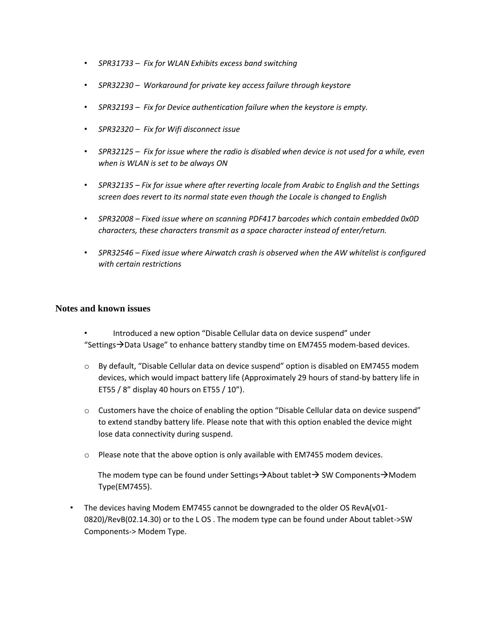- *SPR31733 – Fix for WLAN Exhibits excess band switching*
- *SPR32230 – Workaround for private key access failure through keystore*
- *SPR32193 – Fix for Device authentication failure when the keystore is empty.*
- *SPR32320 – Fix for Wifi disconnect issue*
- *SPR32125 – Fix for issue where the radio is disabled when device is not used for a while, even when is WLAN is set to be always ON*
- *SPR32135 – Fix for issue where after reverting locale from Arabic to English and the Settings screen does revert to its normal state even though the Locale is changed to English*
- *SPR32008 – Fixed issue where on scanning PDF417 barcodes which contain embedded 0x0D characters, these characters transmit as a space character instead of enter/return.*
- *SPR32546 – Fixed issue where Airwatch crash is observed when the AW whitelist is configured with certain restrictions*

## **Notes and known issues**

- Introduced a new option "Disable Cellular data on device suspend" under "Settings $\rightarrow$ Data Usage" to enhance battery standby time on EM7455 modem-based devices.
- o By default, "Disable Cellular data on device suspend" option is disabled on EM7455 modem devices, which would impact battery life (Approximately 29 hours of stand-by battery life in ET55 / 8" display 40 hours on ET55 / 10").
- $\circ$  Customers have the choice of enabling the option "Disable Cellular data on device suspend" to extend standby battery life. Please note that with this option enabled the device might lose data connectivity during suspend.
- o Please note that the above option is only available with EM7455 modem devices.

The modem type can be found under Settings $\rightarrow$ About tablet $\rightarrow$  SW Components $\rightarrow$ Modem Type(EM7455).

• The devices having Modem EM7455 cannot be downgraded to the older OS RevA(v01- 0820)/RevB(02.14.30) or to the L OS . The modem type can be found under About tablet->SW Components-> Modem Type.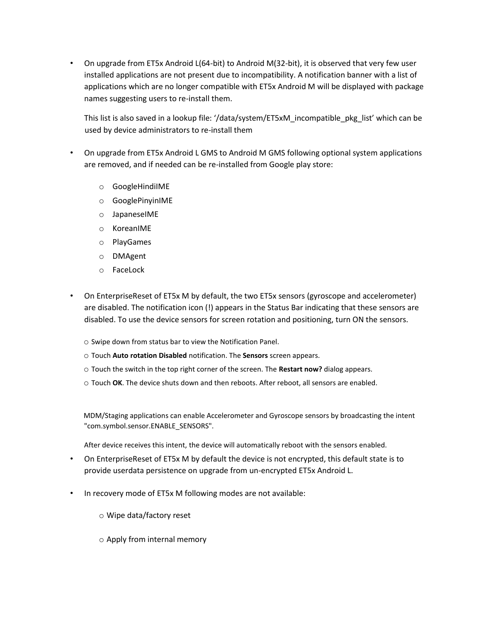• On upgrade from ET5x Android L(64-bit) to Android M(32-bit), it is observed that very few user installed applications are not present due to incompatibility. A notification banner with a list of applications which are no longer compatible with ET5x Android M will be displayed with package names suggesting users to re-install them.

This list is also saved in a lookup file: '/data/system/ET5xM\_incompatible\_pkg\_list' which can be used by device administrators to re-install them

- On upgrade from ET5x Android L GMS to Android M GMS following optional system applications are removed, and if needed can be re-installed from Google play store:
	- o GoogleHindiIME
	- o GooglePinyinIME
	- o JapaneseIME
	- o KoreanIME
	- o PlayGames
	- o DMAgent
	- o FaceLock
- On EnterpriseReset of ET5x M by default, the two ET5x sensors (gyroscope and accelerometer) are disabled. The notification icon (!) appears in the Status Bar indicating that these sensors are disabled. To use the device sensors for screen rotation and positioning, turn ON the sensors.
	- o Swipe down from status bar to view the Notification Panel.
	- o Touch **Auto rotation Disabled** notification. The **Sensors** screen appears.
	- o Touch the switch in the top right corner of the screen. The **Restart now?** dialog appears.
	- o Touch **OK**. The device shuts down and then reboots. After reboot, all sensors are enabled.

MDM/Staging applications can enable Accelerometer and Gyroscope sensors by broadcasting the intent "com.symbol.sensor.ENABLE\_SENSORS".

After device receives this intent, the device will automatically reboot with the sensors enabled.

- On EnterpriseReset of ET5x M by default the device is not encrypted, this default state is to provide userdata persistence on upgrade from un-encrypted ET5x Android L.
- In recovery mode of ET5x M following modes are not available:
	- o Wipe data/factory reset
	- o Apply from internal memory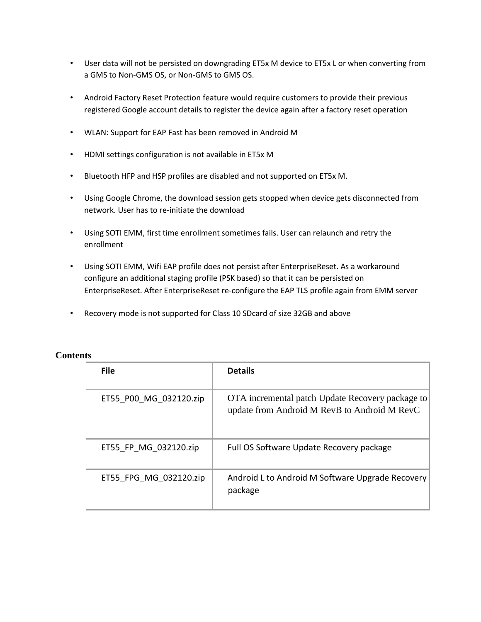- User data will not be persisted on downgrading ET5x M device to ET5x L or when converting from a GMS to Non-GMS OS, or Non-GMS to GMS OS.
- Android Factory Reset Protection feature would require customers to provide their previous registered Google account details to register the device again after a factory reset operation
- WLAN: Support for EAP Fast has been removed in Android M
- HDMI settings configuration is not available in ET5x M
- Bluetooth HFP and HSP profiles are disabled and not supported on ET5x M.
- Using Google Chrome, the download session gets stopped when device gets disconnected from network. User has to re-initiate the download
- Using SOTI EMM, first time enrollment sometimes fails. User can relaunch and retry the enrollment
- Using SOTI EMM, Wifi EAP profile does not persist after EnterpriseReset. As a workaround configure an additional staging profile (PSK based) so that it can be persisted on EnterpriseReset. After EnterpriseReset re-configure the EAP TLS profile again from EMM server
- Recovery mode is not supported for Class 10 SDcard of size 32GB and above

| <b>File</b>            | <b>Details</b>                                                                                   |
|------------------------|--------------------------------------------------------------------------------------------------|
| ET55 P00 MG 032120.zip | OTA incremental patch Update Recovery package to<br>update from Android M RevB to Android M RevC |
| ET55 FP MG 032120.zip  | Full OS Software Update Recovery package                                                         |
| ET55 FPG MG 032120.zip | Android L to Android M Software Upgrade Recovery<br>package                                      |

## **Contents**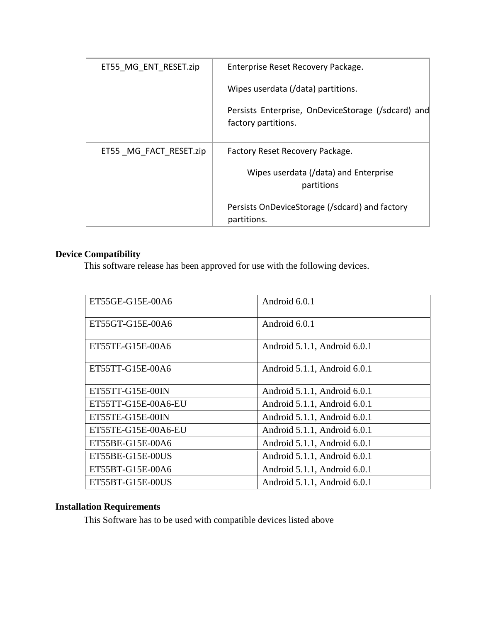| ET55 MG ENT RESET.zip  | Enterprise Reset Recovery Package.                                        |
|------------------------|---------------------------------------------------------------------------|
|                        | Wipes userdata (/data) partitions.                                        |
|                        | Persists Enterprise, OnDeviceStorage (/sdcard) and<br>factory partitions. |
| ET55 MG FACT RESET.zip | Factory Reset Recovery Package.                                           |
|                        | Wipes userdata (/data) and Enterprise<br>partitions                       |
|                        | Persists OnDeviceStorage (/sdcard) and factory<br>partitions.             |

# <span id="page-9-0"></span>**Device Compatibility**

This software release has been approved for use with the following devices.

| ET55GE-G15E-00A6    | Android 6.0.1                |
|---------------------|------------------------------|
| ET55GT-G15E-00A6    | Android 6.0.1                |
| ET55TE-G15E-00A6    | Android 5.1.1, Android 6.0.1 |
| ET55TT-G15E-00A6    | Android 5.1.1, Android 6.0.1 |
| ET55TT-G15E-00IN    | Android 5.1.1, Android 6.0.1 |
| ET55TT-G15E-00A6-EU | Android 5.1.1, Android 6.0.1 |
| ET55TE-G15E-00IN    | Android 5.1.1, Android 6.0.1 |
| ET55TE-G15E-00A6-EU | Android 5.1.1, Android 6.0.1 |
| ET55BE-G15E-00A6    | Android 5.1.1, Android 6.0.1 |
| ET55BE-G15E-00US    | Android 5.1.1, Android 6.0.1 |
| ET55BT-G15E-00A6    | Android 5.1.1, Android 6.0.1 |
| ET55BT-G15E-00US    | Android 5.1.1, Android 6.0.1 |

# <span id="page-9-1"></span>**Installation Requirements**

This Software has to be used with compatible devices listed above